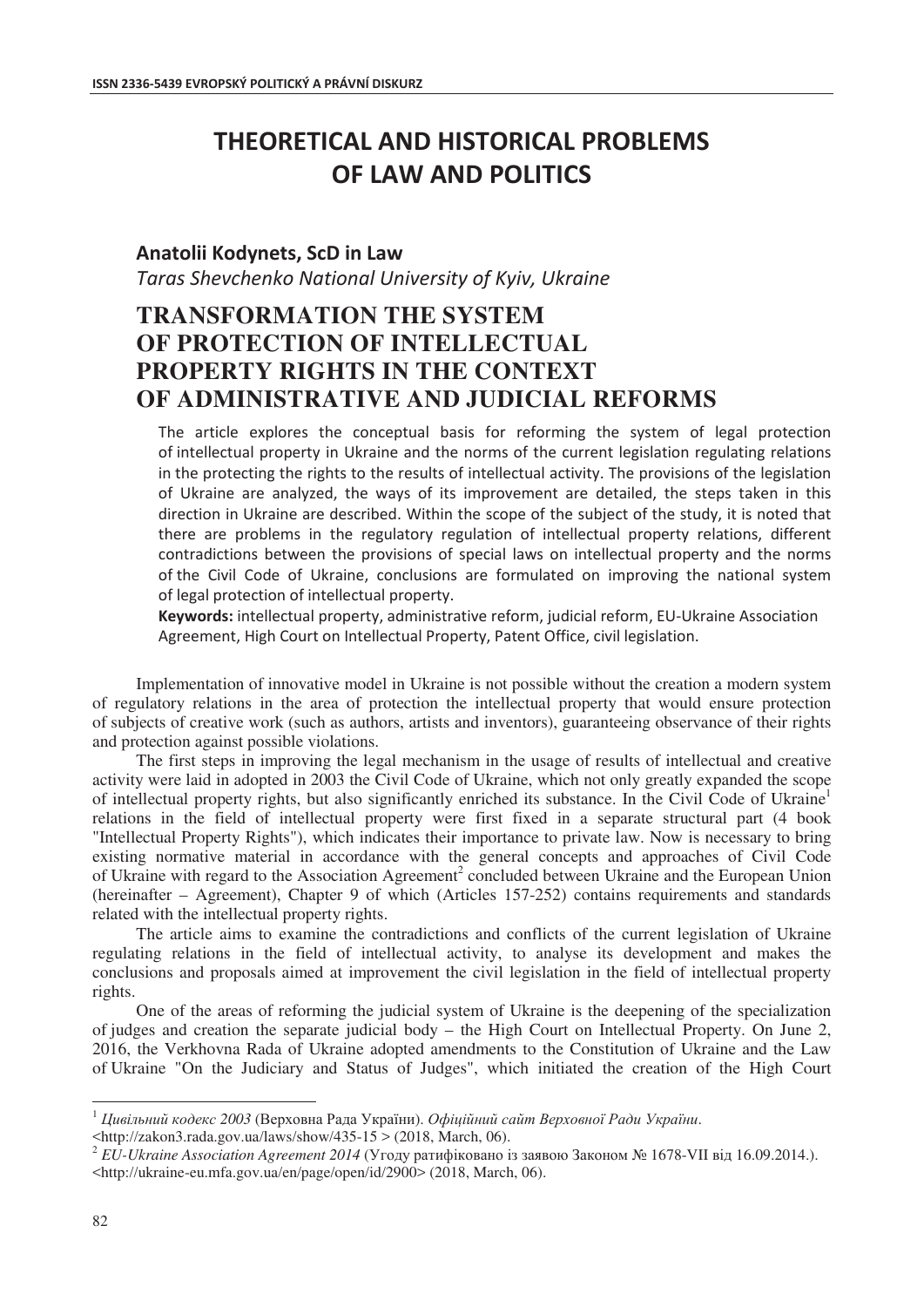## **THEORETICAL AND HISTORICAL PROBLEMS OF LAW AND POLITICS**

## **Anatolii Kodynets, ScD in Law**

*Taras Shevchenko National University of Kyiv, Ukraine* 

## **TRANSFORMATION THE SYSTEM OF PROTECTION OF INTELLECTUAL PROPERTY RIGHTS IN THE CONTEXT OF ADMINISTRATIVE AND JUDICIAL REFORMS**

The article explores the conceptual basis for reforming the system of legal protection  $\sigma$  of intellectual property in Ukraine and the norms of the current legislation regulating relations in the protecting the rights to the results of intellectual activity. The provisions of the legislation of Ukraine are analyzed, the ways of its improvement are detailed, the steps taken in this direction in Ukraine are described. Within the scope of the subject of the study, it is noted that there are problems in the regulatory regulation of intellectual property relations, different contradictions between the provisions of special laws on intellectual property and the norms of the Civil Code of Ukraine, conclusions are formulated on improving the national system of legal protection of intellectual property.

Keywords: intellectual property, administrative reform, judicial reform, EU-Ukraine Association Agreement. High Court on Intellectual Property. Patent Office, civil legislation.

Implementation of innovative model in Ukraine is not possible without the creation a modern system of regulatory relations in the area of protection the intellectual property that would ensure protection of subjects of creative work (such as authors, artists and inventors), guaranteeing observance of their rights and protection against possible violations.

The first steps in improving the legal mechanism in the usage of results of intellectual and creative activity were laid in adopted in 2003 the Civil Code of Ukraine, which not only greatly expanded the scope of intellectual property rights, but also significantly enriched its substance. In the Civil Code of Ukraine<sup>1</sup> relations in the field of intellectual property were first fixed in a separate structural part (4 book "Intellectual Property Rights"), which indicates their importance to private law. Now is necessary to bring existing normative material in accordance with the general concepts and approaches of Civil Code of Ukraine with regard to the Association Agreement<sup>2</sup> concluded between Ukraine and the European Union (hereinafter – Agreement), Chapter 9 of which (Articles 157-252) contains requirements and standards related with the intellectual property rights.

The article aims to examine the contradictions and conflicts of the current legislation of Ukraine regulating relations in the field of intellectual activity, to analyse its development and makes the conclusions and proposals aimed at improvement the civil legislation in the field of intellectual property rights.

One of the areas of reforming the judicial system of Ukraine is the deepening of the specialization of judges and creation the separate judicial body – the High Court on Intellectual Property. On June 2, 2016, the Verkhovna Rada of Ukraine adopted amendments to the Constitution of Ukraine and the Law of Ukraine "On the Judiciary and Status of Judges", which initiated the creation of the High Court

<http://zakon3.rada.gov.ua/laws/show/435-15 > (2018, March, 06).

 $\overline{a}$ 

 $^1$  Цивільний кодекс 2003 (Верховна Рада України). Офіційний сайт Верховної Ради України.

<sup>&</sup>lt;sup>2</sup> EU-Ukraine Association Agreement 2014 (Угоду ратифіковано із заявою Законом № 1678-VII від 16.09.2014.). <http://ukraine-eu.mfa.gov.ua/en/page/open/id/2900> (2018, March, 06).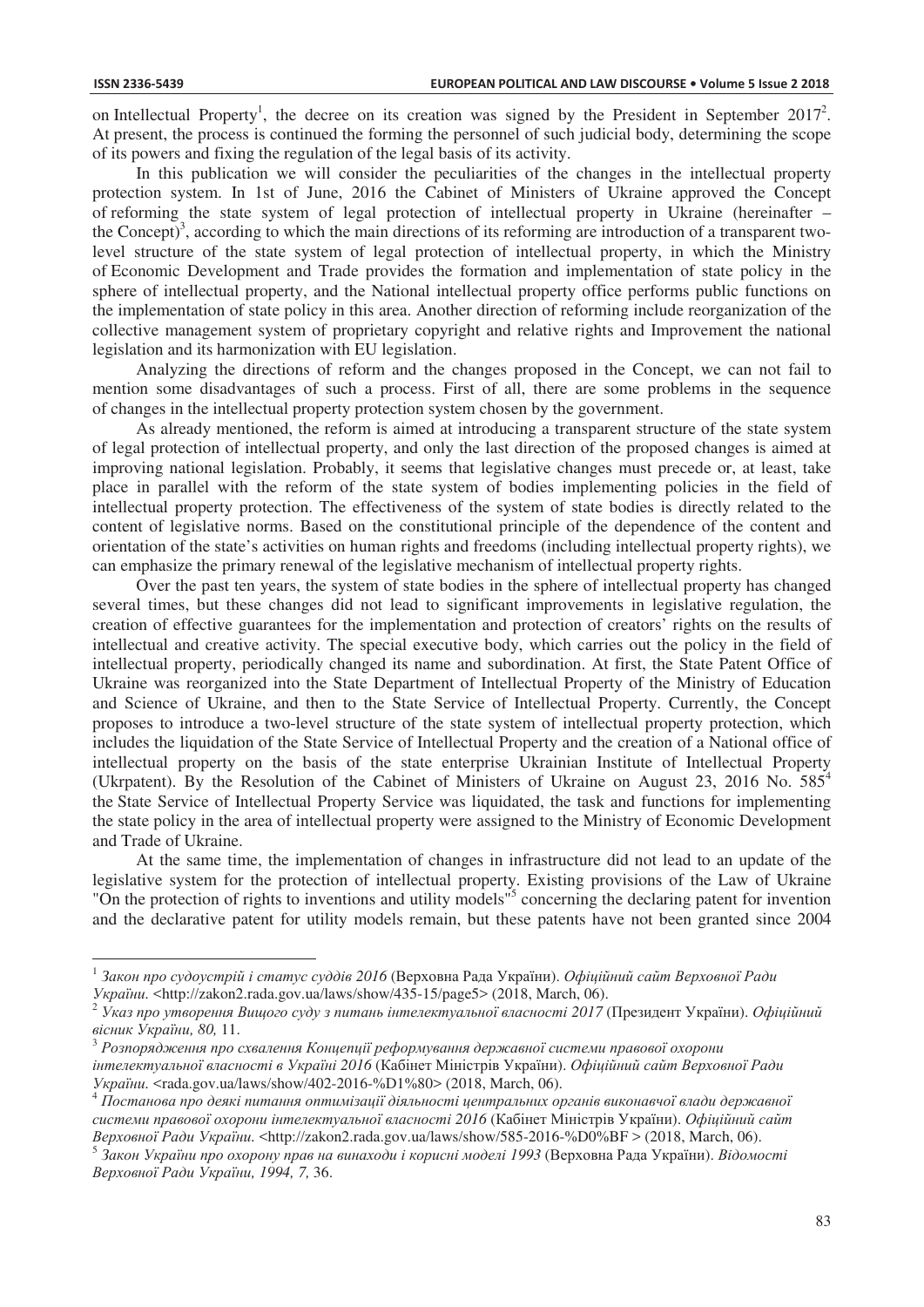$\overline{a}$ 

on Intellectual Property<sup>1</sup>, the decree on its creation was signed by the President in September 2017<sup>2</sup>. At present, the process is continued the forming the personnel of such judicial body, determining the scope of its powers and fixing the regulation of the legal basis of its activity.

In this publication we will consider the peculiarities of the changes in the intellectual property protection system. In 1st of June, 2016 the Cabinet of Ministers of Ukraine approved the Concept of reforming the state system of legal protection of intellectual property in Ukraine (hereinafter – the Concept)<sup>3</sup>, according to which the main directions of its reforming are introduction of a transparent twolevel structure of the state system of legal protection of intellectual property, in which the Ministry of Economic Development and Trade provides the formation and implementation of state policy in the sphere of intellectual property, and the National intellectual property office performs public functions on the implementation of state policy in this area. Another direction of reforming include reorganization of the collective management system of proprietary copyright and relative rights and Improvement the national legislation and its harmonization with EU legislation.

Analyzing the directions of reform and the changes proposed in the Concept, we can not fail to mention some disadvantages of such a process. First of all, there are some problems in the sequence of changes in the intellectual property protection system chosen by the government.

As already mentioned, the reform is aimed at introducing a transparent structure of the state system of legal protection of intellectual property, and only the last direction of the proposed changes is aimed at improving national legislation. Probably, it seems that legislative changes must precede or, at least, take place in parallel with the reform of the state system of bodies implementing policies in the field of intellectual property protection. The effectiveness of the system of state bodies is directly related to the content of legislative norms. Based on the constitutional principle of the dependence of the content and orientation of the state's activities on human rights and freedoms (including intellectual property rights), we can emphasize the primary renewal of the legislative mechanism of intellectual property rights.

Over the past ten years, the system of state bodies in the sphere of intellectual property has changed several times, but these changes did not lead to significant improvements in legislative regulation, the creation of effective guarantees for the implementation and protection of creators' rights on the results of intellectual and creative activity. The special executive body, which carries out the policy in the field of intellectual property, periodically changed its name and subordination. At first, the State Patent Office of Ukraine was reorganized into the State Department of Intellectual Property of the Ministry of Education and Science of Ukraine, and then to the State Service of Intellectual Property. Currently, the Concept proposes to introduce a two-level structure of the state system of intellectual property protection, which includes the liquidation of the State Service of Intellectual Property and the creation of a National office of intellectual property on the basis of the state enterprise Ukrainian Institute of Intellectual Property (Ukrpatent). By the Resolution of the Cabinet of Ministers of Ukraine on August 23, 2016 No.  $585<sup>4</sup>$ the State Service of Intellectual Property Service was liquidated, the task and functions for implementing the state policy in the area of intellectual property were assigned to the Ministry of Economic Development and Trade of Ukraine.

At the same time, the implementation of changes in infrastructure did not lead to an update of the legislative system for the protection of intellectual property. Existing provisions of the Law of Ukraine "On the protection of rights to inventions and utility models"<sup>5</sup> concerning the declaring patent for invention and the declarative patent for utility models remain, but these patents have not been granted since 2004

 $^1$  Закон про судоустрій і статус суддів 2016 (Верховна Рада України). Офіційний сайт Верховної Ради

України. <http://zakon2.rada.gov.ua/laws/show/435-15/page5> (2018, March, 06).<br><sup>2</sup> Указ про утворення Вищого суду з питань інтелектуальної власності 2017 (Президент України). Офіційний вісник України, 80, 11.

 $^3$  Розпорядження про схвалення Концепції реформування державної системи правової охорони  $i$ нтелектуальної власності в Україні 2016 (Кабінет Міністрів України). Офіційний сайт Верховної Ради України. <rada.gov.ua/laws/show/402-2016-%D1%80> (2018, March, 06).<br><sup>4</sup> Постанова про деякі питання оптимізації діяльності центральних органів виконавчої влади державної

системи правової охорони інтелектуальної власності 2016 (Кабінет Міністрів України). Офіційний сайт *Верховної Ради України*, <http://zakon2.rada.gov.ua/laws/show/585-2016-%D0%BF > (2018, March, 06).

<sup>&</sup>lt;sup>5</sup> Закон України про охорону прав на винаходи і корисні моделі 1993 (Верховна Рада України). Відомості  $Bepx$ овної Ради України, 1994, 7, 36.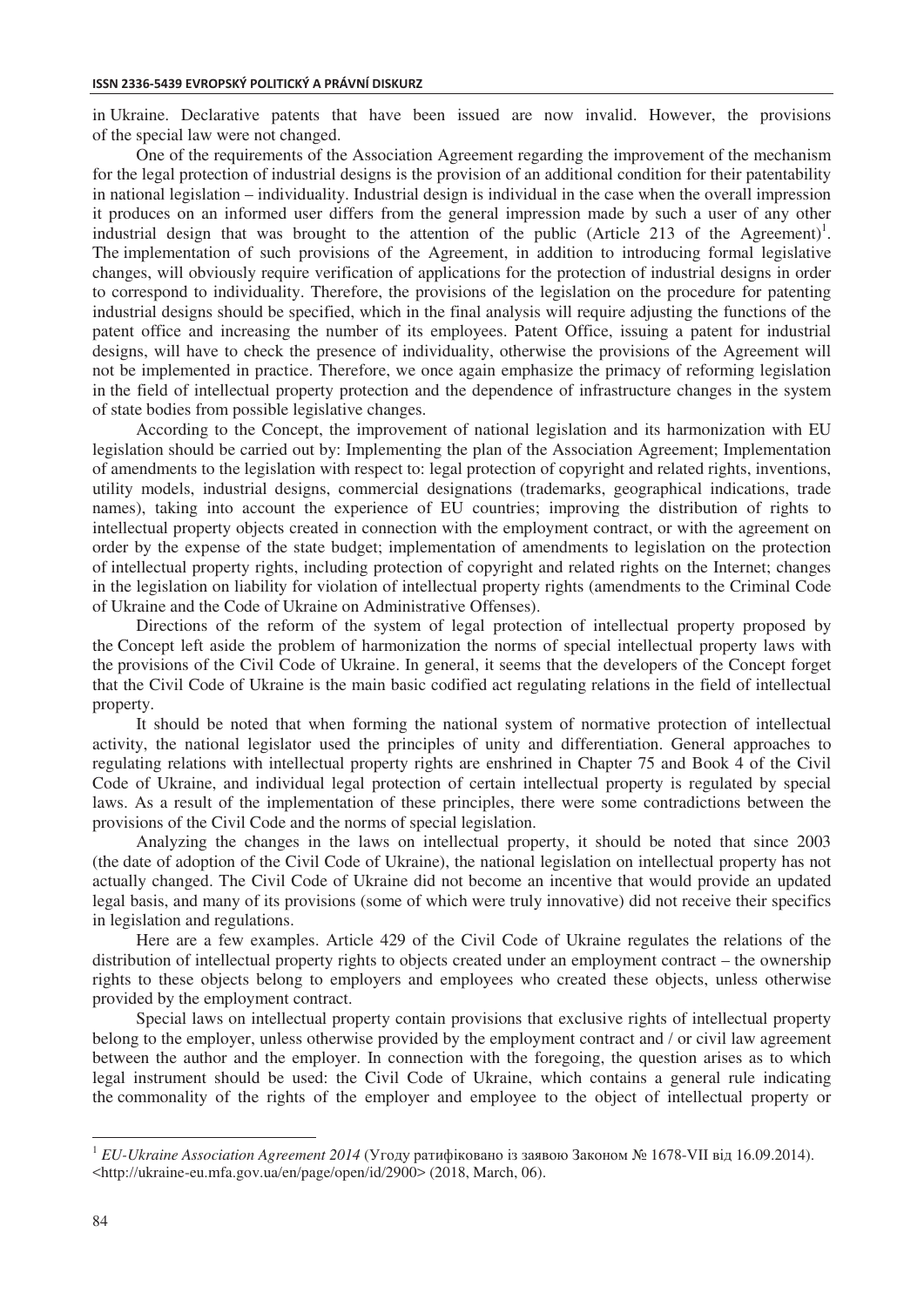in Ukraine. Declarative patents that have been issued are now invalid. However, the provisions of the special law were not changed.

One of the requirements of the Association Agreement regarding the improvement of the mechanism for the legal protection of industrial designs is the provision of an additional condition for their patentability in national legislation – individuality. Industrial design is individual in the case when the overall impression it produces on an informed user differs from the general impression made by such a user of any other industrial design that was brought to the attention of the public (Article 213 of the Agreement)<sup>1</sup>. The implementation of such provisions of the Agreement, in addition to introducing formal legislative changes, will obviously require verification of applications for the protection of industrial designs in order to correspond to individuality. Therefore, the provisions of the legislation on the procedure for patenting industrial designs should be specified, which in the final analysis will require adjusting the functions of the patent office and increasing the number of its employees. Patent Office, issuing a patent for industrial designs, will have to check the presence of individuality, otherwise the provisions of the Agreement will not be implemented in practice. Therefore, we once again emphasize the primacy of reforming legislation in the field of intellectual property protection and the dependence of infrastructure changes in the system of state bodies from possible legislative changes.

According to the Concept, the improvement of national legislation and its harmonization with EU legislation should be carried out by: Implementing the plan of the Association Agreement; Implementation of amendments to the legislation with respect to: legal protection of copyright and related rights, inventions, utility models, industrial designs, commercial designations (trademarks, geographical indications, trade names), taking into account the experience of EU countries; improving the distribution of rights to intellectual property objects created in connection with the employment contract, or with the agreement on order by the expense of the state budget; implementation of amendments to legislation on the protection of intellectual property rights, including protection of copyright and related rights on the Internet; changes in the legislation on liability for violation of intellectual property rights (amendments to the Criminal Code of Ukraine and the Code of Ukraine on Administrative Offenses).

Directions of the reform of the system of legal protection of intellectual property proposed by the Concept left aside the problem of harmonization the norms of special intellectual property laws with the provisions of the Civil Code of Ukraine. In general, it seems that the developers of the Concept forget that the Civil Code of Ukraine is the main basic codified act regulating relations in the field of intellectual property.

It should be noted that when forming the national system of normative protection of intellectual activity, the national legislator used the principles of unity and differentiation. General approaches to regulating relations with intellectual property rights are enshrined in Chapter 75 and Book 4 of the Civil Code of Ukraine, and individual legal protection of certain intellectual property is regulated by special laws. As a result of the implementation of these principles, there were some contradictions between the provisions of the Civil Code and the norms of special legislation.

Analyzing the changes in the laws on intellectual property, it should be noted that since 2003 (the date of adoption of the Civil Code of Ukraine), the national legislation on intellectual property has not actually changed. The Civil Code of Ukraine did not become an incentive that would provide an updated legal basis, and many of its provisions (some of which were truly innovative) did not receive their specifics in legislation and regulations.

Here are a few examples. Article 429 of the Civil Code of Ukraine regulates the relations of the distribution of intellectual property rights to objects created under an employment contract – the ownership rights to these objects belong to employers and employees who created these objects, unless otherwise provided by the employment contract.

Special laws on intellectual property contain provisions that exclusive rights of intellectual property belong to the employer, unless otherwise provided by the employment contract and / or civil law agreement between the author and the employer. In connection with the foregoing, the question arises as to which legal instrument should be used: the Civil Code of Ukraine, which contains a general rule indicating the commonality of the rights of the employer and employee to the object of intellectual property or

 $\overline{a}$ 

<sup>&</sup>lt;sup>1</sup> *EU-Ukraine Association Agreement 2014* (Угоду ратифіковано із заявою Законом № 1678-VII від 16.09.2014). <http://ukraine-eu.mfa.gov.ua/en/page/open/id/2900> (2018, March, 06).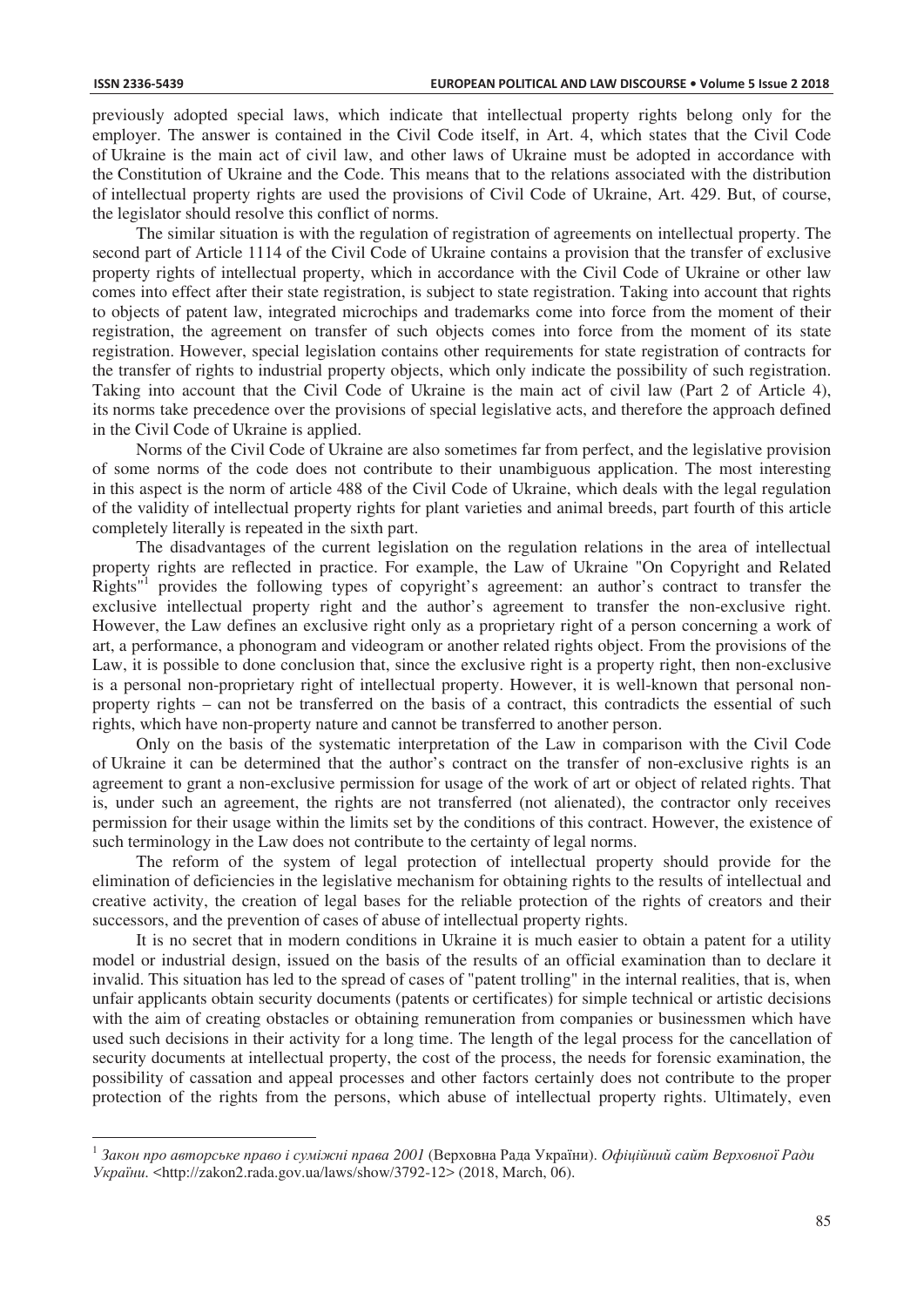$\overline{a}$ 

previously adopted special laws, which indicate that intellectual property rights belong only for the employer. The answer is contained in the Civil Code itself, in Art. 4, which states that the Civil Code of Ukraine is the main act of civil law, and other laws of Ukraine must be adopted in accordance with the Constitution of Ukraine and the Code. This means that to the relations associated with the distribution of intellectual property rights are used the provisions of Civil Code of Ukraine, Art. 429. But, of course, the legislator should resolve this conflict of norms.

The similar situation is with the regulation of registration of agreements on intellectual property. The second part of Article 1114 of the Civil Code of Ukraine contains a provision that the transfer of exclusive property rights of intellectual property, which in accordance with the Civil Code of Ukraine or other law comes into effect after their state registration, is subject to state registration. Taking into account that rights to objects of patent law, integrated microchips and trademarks come into force from the moment of their registration, the agreement on transfer of such objects comes into force from the moment of its state registration. However, special legislation contains other requirements for state registration of contracts for the transfer of rights to industrial property objects, which only indicate the possibility of such registration. Taking into account that the Civil Code of Ukraine is the main act of civil law (Part 2 of Article 4), its norms take precedence over the provisions of special legislative acts, and therefore the approach defined in the Civil Code of Ukraine is applied.

Norms of the Civil Code of Ukraine are also sometimes far from perfect, and the legislative provision of some norms of the code does not contribute to their unambiguous application. The most interesting in this aspect is the norm of article 488 of the Civil Code of Ukraine, which deals with the legal regulation of the validity of intellectual property rights for plant varieties and animal breeds, part fourth of this article completely literally is repeated in the sixth part.

The disadvantages of the current legislation on the regulation relations in the area of intellectual property rights are reflected in practice. For example, the Law of Ukraine "On Copyright and Related Rights"<sup>1</sup> provides the following types of copyright's agreement: an author's contract to transfer the exclusive intellectual property right and the author's agreement to transfer the non-exclusive right. However, the Law defines an exclusive right only as a proprietary right of a person concerning a work of art, a performance, a phonogram and videogram or another related rights object. From the provisions of the Law, it is possible to done conclusion that, since the exclusive right is a property right, then non-exclusive is a personal non-proprietary right of intellectual property. However, it is well-known that personal nonproperty rights – can not be transferred on the basis of a contract, this contradicts the essential of such rights, which have non-property nature and cannot be transferred to another person.

Only on the basis of the systematic interpretation of the Law in comparison with the Civil Code of Ukraine it can be determined that the author's contract on the transfer of non-exclusive rights is an agreement to grant a non-exclusive permission for usage of the work of art or object of related rights. That is, under such an agreement, the rights are not transferred (not alienated), the contractor only receives permission for their usage within the limits set by the conditions of this contract. However, the existence of such terminology in the Law does not contribute to the certainty of legal norms.

The reform of the system of legal protection of intellectual property should provide for the elimination of deficiencies in the legislative mechanism for obtaining rights to the results of intellectual and creative activity, the creation of legal bases for the reliable protection of the rights of creators and their successors, and the prevention of cases of abuse of intellectual property rights.

It is no secret that in modern conditions in Ukraine it is much easier to obtain a patent for a utility model or industrial design, issued on the basis of the results of an official examination than to declare it invalid. This situation has led to the spread of cases of "patent trolling" in the internal realities, that is, when unfair applicants obtain security documents (patents or certificates) for simple technical or artistic decisions with the aim of creating obstacles or obtaining remuneration from companies or businessmen which have used such decisions in their activity for a long time. The length of the legal process for the cancellation of security documents at intellectual property, the cost of the process, the needs for forensic examination, the possibility of cassation and appeal processes and other factors certainly does not contribute to the proper protection of the rights from the persons, which abuse of intellectual property rights. Ultimately, even

<sup>&</sup>lt;sup>1</sup> Закон про авторське право і суміжні права 2001 (Верховна Рада України). Офіційний сайт Верховної Ради *ɍɤɪɚʀɧɢ.* <http://zakon2.rada.gov.ua/laws/show/3792-12> (2018, March, 06).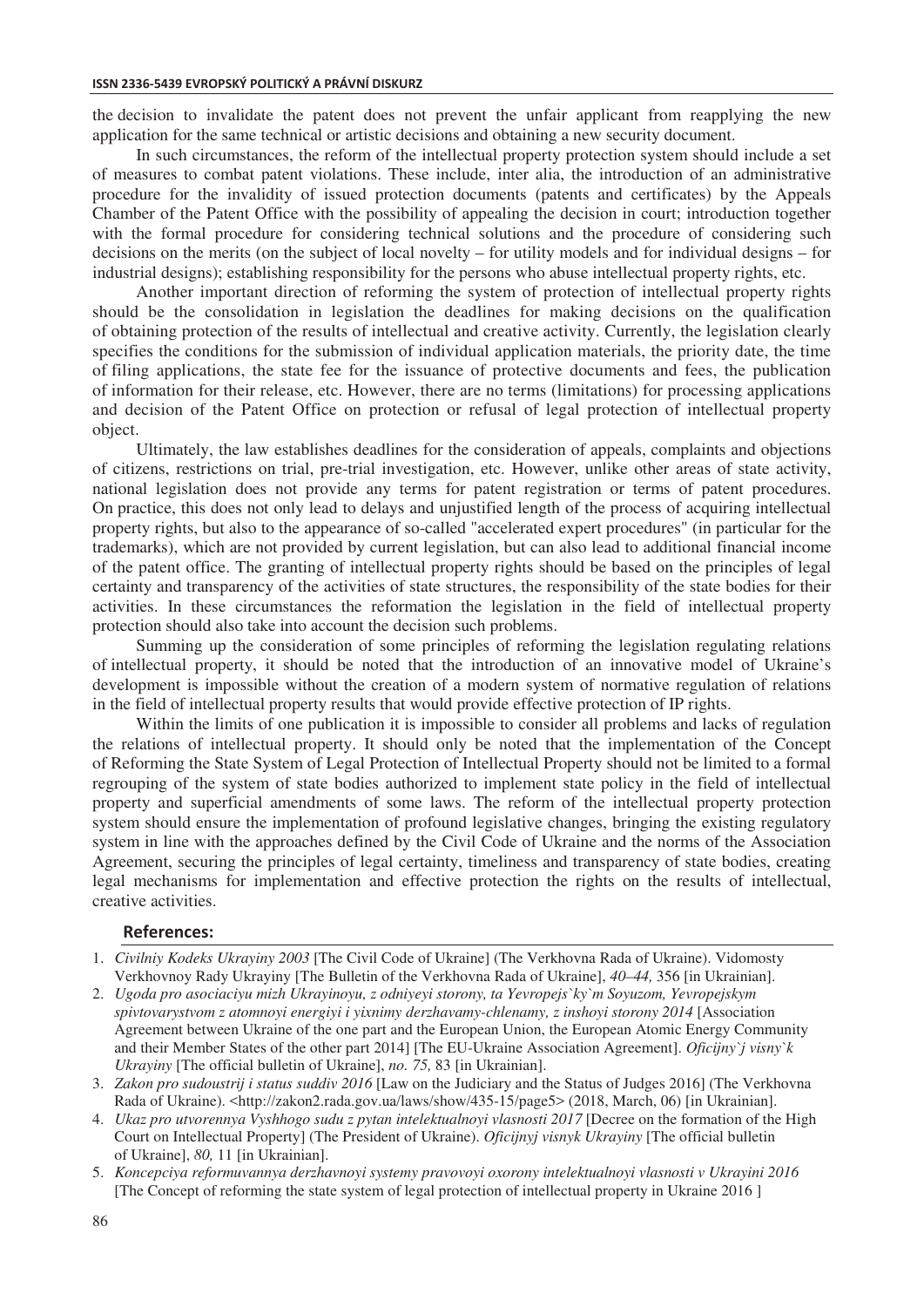the decision to invalidate the patent does not prevent the unfair applicant from reapplying the new application for the same technical or artistic decisions and obtaining a new security document.

In such circumstances, the reform of the intellectual property protection system should include a set of measures to combat patent violations. These include, inter alia, the introduction of an administrative procedure for the invalidity of issued protection documents (patents and certificates) by the Appeals Chamber of the Patent Office with the possibility of appealing the decision in court; introduction together with the formal procedure for considering technical solutions and the procedure of considering such decisions on the merits (on the subject of local novelty – for utility models and for individual designs – for industrial designs); establishing responsibility for the persons who abuse intellectual property rights, etc.

Another important direction of reforming the system of protection of intellectual property rights should be the consolidation in legislation the deadlines for making decisions on the qualification of obtaining protection of the results of intellectual and creative activity. Currently, the legislation clearly specifies the conditions for the submission of individual application materials, the priority date, the time of filing applications, the state fee for the issuance of protective documents and fees, the publication of information for their release, etc. However, there are no terms (limitations) for processing applications and decision of the Patent Office on protection or refusal of legal protection of intellectual property object.

Ultimately, the law establishes deadlines for the consideration of appeals, complaints and objections of citizens, restrictions on trial, pre-trial investigation, etc. However, unlike other areas of state activity, national legislation does not provide any terms for patent registration or terms of patent procedures. On practice, this does not only lead to delays and unjustified length of the process of acquiring intellectual property rights, but also to the appearance of so-called "accelerated expert procedures" (in particular for the trademarks), which are not provided by current legislation, but can also lead to additional financial income of the patent office. The granting of intellectual property rights should be based on the principles of legal certainty and transparency of the activities of state structures, the responsibility of the state bodies for their activities. In these circumstances the reformation the legislation in the field of intellectual property protection should also take into account the decision such problems.

Summing up the consideration of some principles of reforming the legislation regulating relations of intellectual property, it should be noted that the introduction of an innovative model of Ukraine's development is impossible without the creation of a modern system of normative regulation of relations in the field of intellectual property results that would provide effective protection of IP rights.

Within the limits of one publication it is impossible to consider all problems and lacks of regulation the relations of intellectual property. It should only be noted that the implementation of the Concept of Reforming the State System of Legal Protection of Intellectual Property should not be limited to a formal regrouping of the system of state bodies authorized to implement state policy in the field of intellectual property and superficial amendments of some laws. The reform of the intellectual property protection system should ensure the implementation of profound legislative changes, bringing the existing regulatory system in line with the approaches defined by the Civil Code of Ukraine and the norms of the Association Agreement, securing the principles of legal certainty, timeliness and transparency of state bodies, creating legal mechanisms for implementation and effective protection the rights on the results of intellectual, creative activities.

## **References:**

- 1. *Civilniy Kodeks Ukrayiny 2003* [The Civil Code of Ukraine] (The Verkhovna Rada of Ukraine). Vidomosty Verkhovnoy Rady Ukrayiny [The Bulletin of the Verkhovna Rada of Ukraine], *40–44,* 356 [in Ukrainian].
- 2. *Ugoda pro asociaciyu mizh Ukrayinoyu, z odniyeyi storony, ta Yevropejs`ky`m Soyuzom, Yevropejskym spivtovarystvom z atomnoyi energiyi i yixnimy derzhavamy-chlenamy, z inshoyi storony 2014* [Association Agreement between Ukraine of the one part and the European Union, the European Atomic Energy Community and their Member States of the other part 2014] [The EU-Ukraine Association Agreement]. *Oficijny`j visny`k Ukrayiny* [The official bulletin of Ukraine], *no. 75,* 83 [in Ukrainian].
- 3. *Zakon pro sudoustrij i status suddiv 2016* [Law on the Judiciary and the Status of Judges 2016] (The Verkhovna Rada of Ukraine). <http://zakon2.rada.gov.ua/laws/show/435-15/page5> (2018, March, 06) [in Ukrainian].
- 4. *Ukaz pro utvorennya Vyshhogo sudu z pytan intelektualnoyi vlasnosti 2017* [Decree on the formation of the High Court on Intellectual Property] (The President of Ukraine). *Oficijnyj visnyk Ukrayiny* [The official bulletin of Ukraine], *80,* 11 [in Ukrainian].
- 5. *Koncepciya reformuvannya derzhavnoyi systemy pravovoyi oxorony intelektualnoyi vlasnosti v Ukrayini 2016* [The Concept of reforming the state system of legal protection of intellectual property in Ukraine 2016 ]